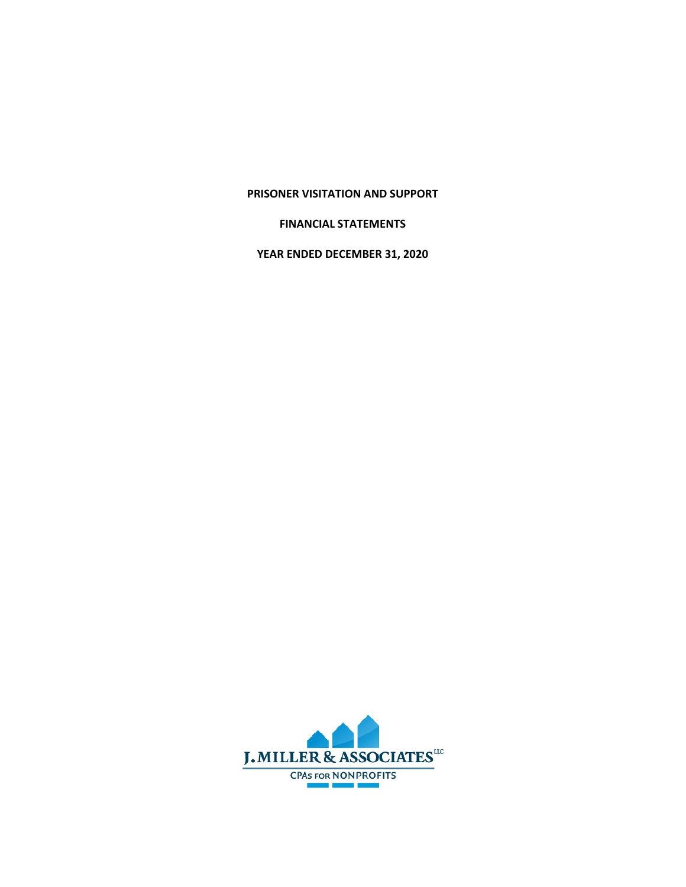## **PRISONER VISITATION AND SUPPORT**

## **FINANCIAL STATEMENTS**

**YEAR ENDED DECEMBER 31, 2020**

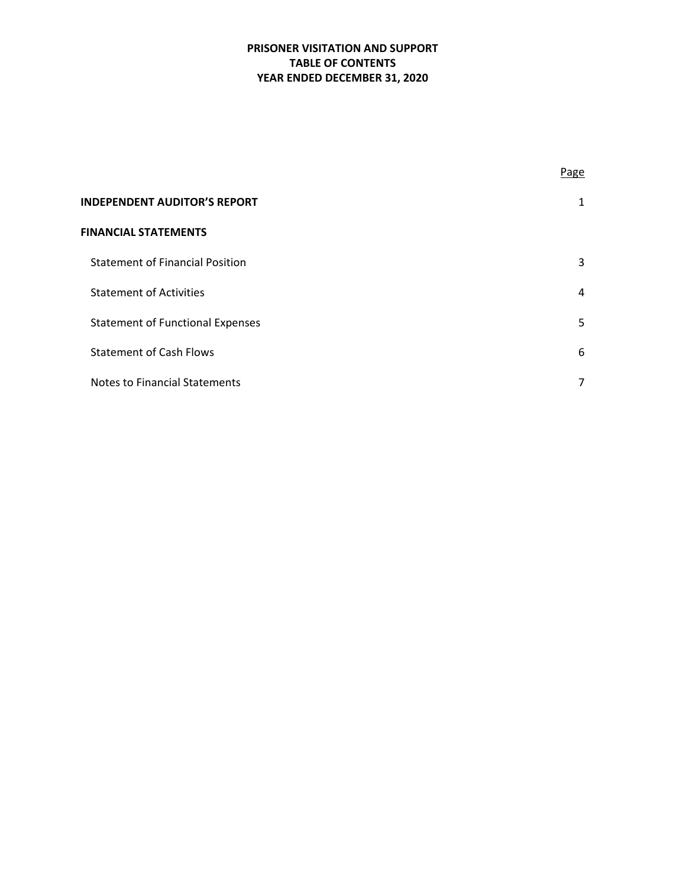# **PRISONER VISITATION AND SUPPORT TABLE OF CONTENTS YEAR ENDED DECEMBER 31, 2020**

|                                         | Page           |
|-----------------------------------------|----------------|
| <b>INDEPENDENT AUDITOR'S REPORT</b>     | 1              |
| <b>FINANCIAL STATEMENTS</b>             |                |
| <b>Statement of Financial Position</b>  | 3              |
| <b>Statement of Activities</b>          | $\overline{4}$ |
| <b>Statement of Functional Expenses</b> | 5              |
| <b>Statement of Cash Flows</b>          | 6              |
| <b>Notes to Financial Statements</b>    | 7              |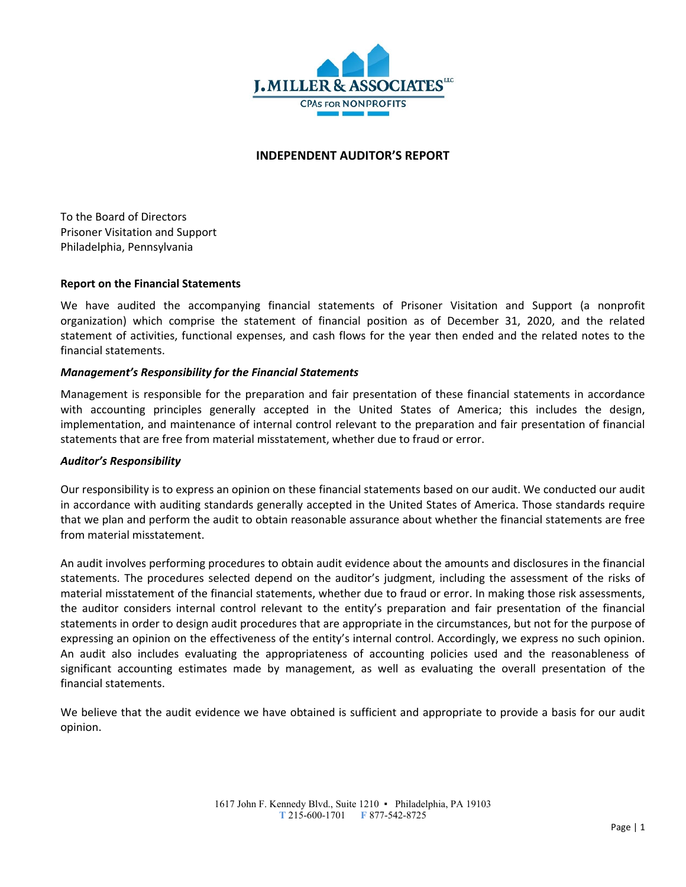

## **INDEPENDENT AUDITOR'S REPORT**

To the Board of Directors Prisoner Visitation and Support Philadelphia, Pennsylvania

### **Report on the Financial Statements**

We have audited the accompanying financial statements of Prisoner Visitation and Support (a nonprofit organization) which comprise the statement of financial position as of December 31, 2020, and the related statement of activities, functional expenses, and cash flows for the year then ended and the related notes to the financial statements.

### *Management's Responsibility for the Financial Statements*

Management is responsible for the preparation and fair presentation of these financial statements in accordance with accounting principles generally accepted in the United States of America; this includes the design, implementation, and maintenance of internal control relevant to the preparation and fair presentation of financial statements that are free from material misstatement, whether due to fraud or error.

#### *Auditor's Responsibility*

Our responsibility is to express an opinion on these financial statements based on our audit. We conducted our audit in accordance with auditing standards generally accepted in the United States of America. Those standards require that we plan and perform the audit to obtain reasonable assurance about whether the financial statements are free from material misstatement.

An audit involves performing procedures to obtain audit evidence about the amounts and disclosures in the financial statements. The procedures selected depend on the auditor's judgment, including the assessment of the risks of material misstatement of the financial statements, whether due to fraud or error. In making those risk assessments, the auditor considers internal control relevant to the entity's preparation and fair presentation of the financial statements in order to design audit procedures that are appropriate in the circumstances, but not for the purpose of expressing an opinion on the effectiveness of the entity's internal control. Accordingly, we express no such opinion. An audit also includes evaluating the appropriateness of accounting policies used and the reasonableness of significant accounting estimates made by management, as well as evaluating the overall presentation of the financial statements.

We believe that the audit evidence we have obtained is sufficient and appropriate to provide a basis for our audit opinion.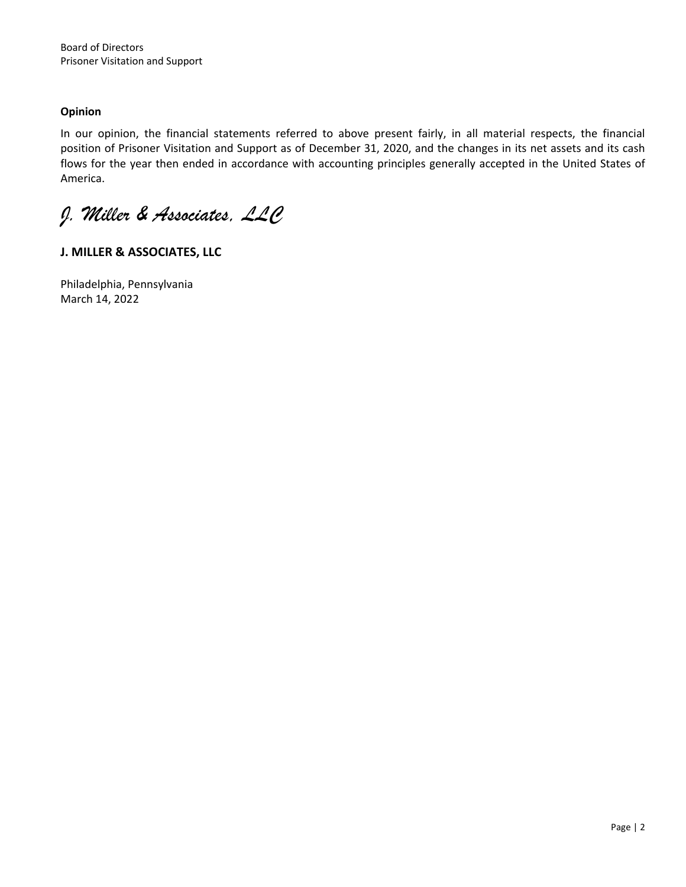# **Opinion**

In our opinion, the financial statements referred to above present fairly, in all material respects, the financial position of Prisoner Visitation and Support as of December 31, 2020, and the changes in its net assets and its cash flows for the year then ended in accordance with accounting principles generally accepted in the United States of America.

*J. Miller & Associates, LLC* 

# **J. MILLER & ASSOCIATES, LLC**

Philadelphia, Pennsylvania March 14, 2022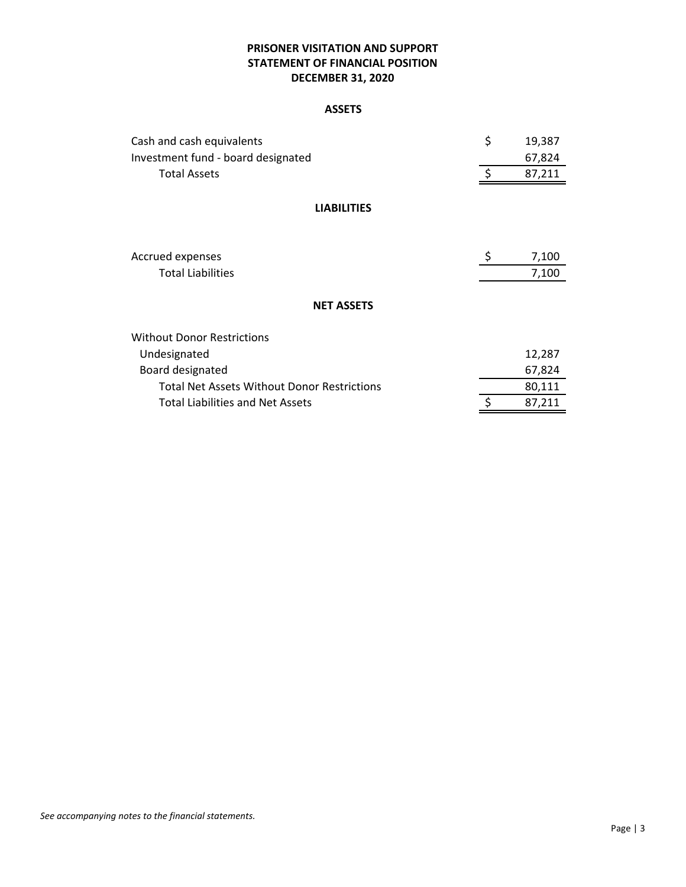# **PRISONER VISITATION AND SUPPORT STATEMENT OF FINANCIAL POSITION DECEMBER 31, 2020**

### **ASSETS**

| Cash and cash equivalents                          | \$ | 19,387 |
|----------------------------------------------------|----|--------|
| Investment fund - board designated                 |    | 67,824 |
| <b>Total Assets</b>                                | Ŝ. | 87,211 |
| <b>LIABILITIES</b>                                 |    |        |
| Accrued expenses                                   | \$ | 7,100  |
| <b>Total Liabilities</b>                           |    | 7,100  |
| <b>NET ASSETS</b>                                  |    |        |
| <b>Without Donor Restrictions</b>                  |    |        |
| Undesignated                                       |    | 12,287 |
| Board designated                                   |    | 67,824 |
| <b>Total Net Assets Without Donor Restrictions</b> |    | 80,111 |
| <b>Total Liabilities and Net Assets</b>            | \$ | 87,211 |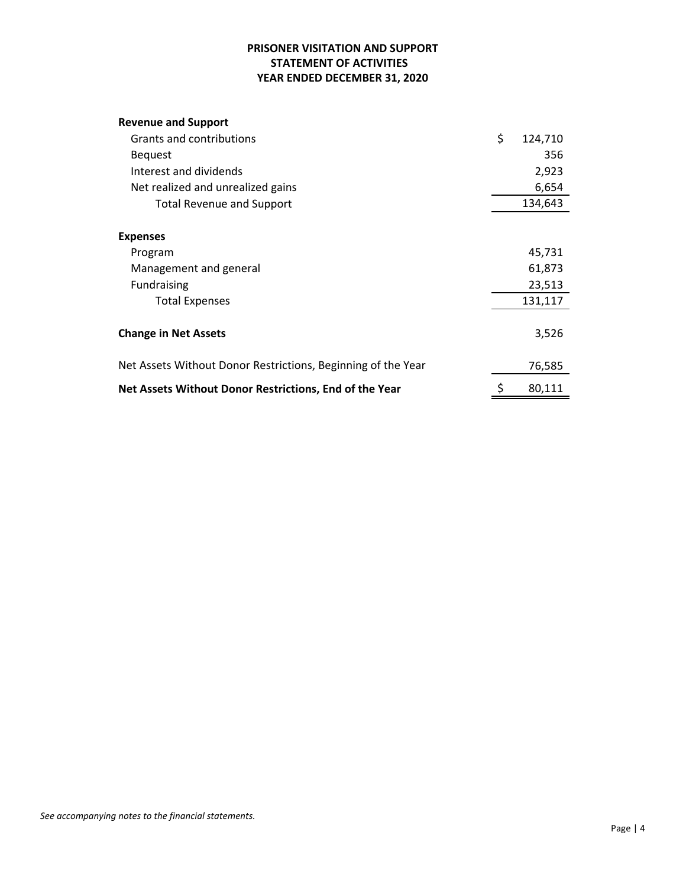# **PRISONER VISITATION AND SUPPORT STATEMENT OF ACTIVITIES YEAR ENDED DECEMBER 31, 2020**

# **Revenue and Support**

| Grants and contributions                                     | \$<br>124,710 |
|--------------------------------------------------------------|---------------|
| <b>Bequest</b>                                               | 356           |
| Interest and dividends                                       | 2,923         |
| Net realized and unrealized gains                            | 6,654         |
| <b>Total Revenue and Support</b>                             | 134,643       |
| <b>Expenses</b>                                              |               |
| Program                                                      | 45,731        |
| Management and general                                       | 61,873        |
| <b>Fundraising</b>                                           | 23,513        |
| <b>Total Expenses</b>                                        | 131,117       |
| <b>Change in Net Assets</b>                                  | 3,526         |
| Net Assets Without Donor Restrictions, Beginning of the Year | 76,585        |
| Net Assets Without Donor Restrictions, End of the Year       | 80,111        |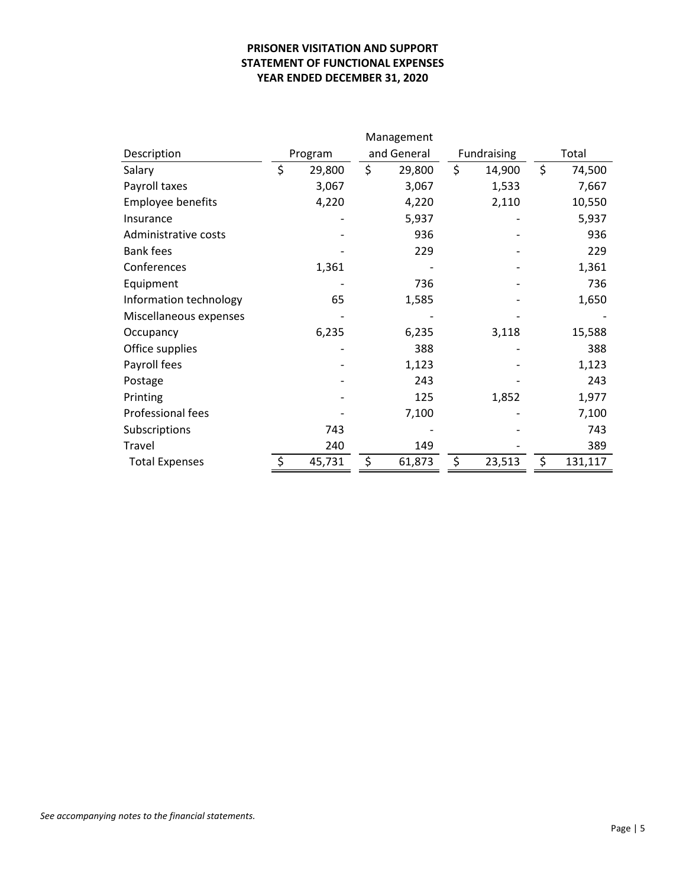# **PRISONER VISITATION AND SUPPORT STATEMENT OF FUNCTIONAL EXPENSES YEAR ENDED DECEMBER 31, 2020**

|                        | Management |         |             |        |             |        |       |         |
|------------------------|------------|---------|-------------|--------|-------------|--------|-------|---------|
| Description            |            | Program | and General |        | Fundraising |        | Total |         |
| Salary                 | \$         | 29,800  | \$          | 29,800 | \$          | 14,900 | \$    | 74,500  |
| Payroll taxes          |            | 3,067   |             | 3,067  |             | 1,533  |       | 7,667   |
| Employee benefits      |            | 4,220   |             | 4,220  |             | 2,110  |       | 10,550  |
| Insurance              |            |         |             | 5,937  |             |        |       | 5,937   |
| Administrative costs   |            |         |             | 936    |             |        |       | 936     |
| <b>Bank fees</b>       |            |         |             | 229    |             |        |       | 229     |
| Conferences            |            | 1,361   |             |        |             |        |       | 1,361   |
| Equipment              |            |         |             | 736    |             |        |       | 736     |
| Information technology |            | 65      |             | 1,585  |             |        |       | 1,650   |
| Miscellaneous expenses |            |         |             |        |             |        |       |         |
| Occupancy              |            | 6,235   |             | 6,235  |             | 3,118  |       | 15,588  |
| Office supplies        |            |         |             | 388    |             |        |       | 388     |
| Payroll fees           |            |         |             | 1,123  |             |        |       | 1,123   |
| Postage                |            |         |             | 243    |             |        |       | 243     |
| Printing               |            |         |             | 125    |             | 1,852  |       | 1,977   |
| Professional fees      |            |         |             | 7,100  |             |        |       | 7,100   |
| Subscriptions          |            | 743     |             |        |             |        |       | 743     |
| Travel                 |            | 240     |             | 149    |             |        |       | 389     |
| <b>Total Expenses</b>  | \$         | 45,731  | \$          | 61,873 | \$          | 23,513 | \$    | 131,117 |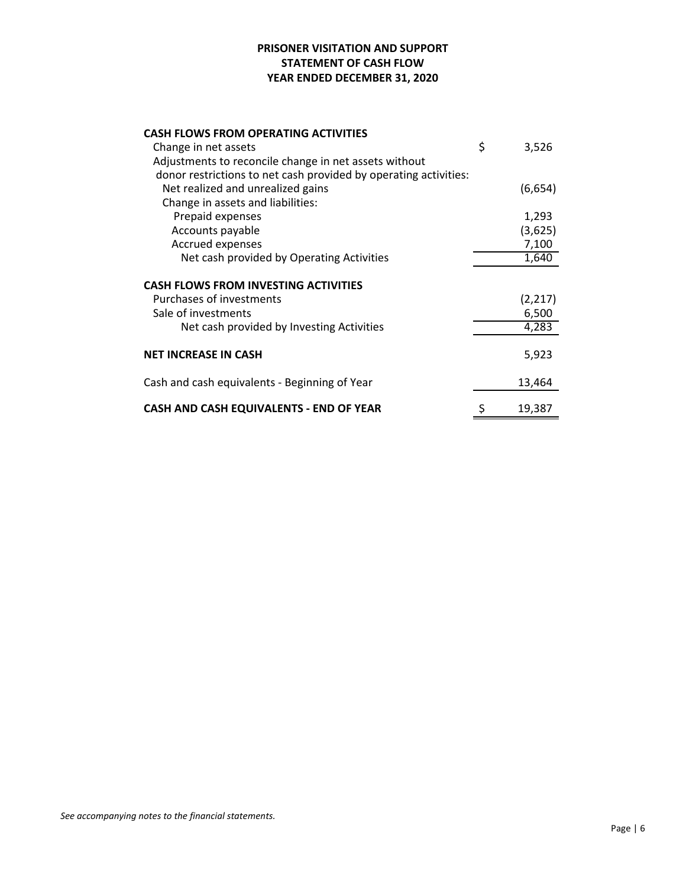# **PRISONER VISITATION AND SUPPORT STATEMENT OF CASH FLOW YEAR ENDED DECEMBER 31, 2020**

| <b>CASH FLOWS FROM OPERATING ACTIVITIES</b>                      |             |
|------------------------------------------------------------------|-------------|
| Change in net assets                                             | \$<br>3,526 |
| Adjustments to reconcile change in net assets without            |             |
| donor restrictions to net cash provided by operating activities: |             |
| Net realized and unrealized gains                                | (6,654)     |
| Change in assets and liabilities:                                |             |
| Prepaid expenses                                                 | 1,293       |
| Accounts payable                                                 | (3,625)     |
| Accrued expenses                                                 | 7,100       |
| Net cash provided by Operating Activities                        | 1,640       |
| <b>CASH FLOWS FROM INVESTING ACTIVITIES</b>                      |             |
| Purchases of investments                                         | (2, 217)    |
| Sale of investments                                              | 6,500       |
| Net cash provided by Investing Activities                        | 4,283       |
| <b>NET INCREASE IN CASH</b>                                      | 5,923       |
| Cash and cash equivalents - Beginning of Year                    | 13,464      |
| CASH AND CASH EQUIVALENTS - END OF YEAR                          | 19,387      |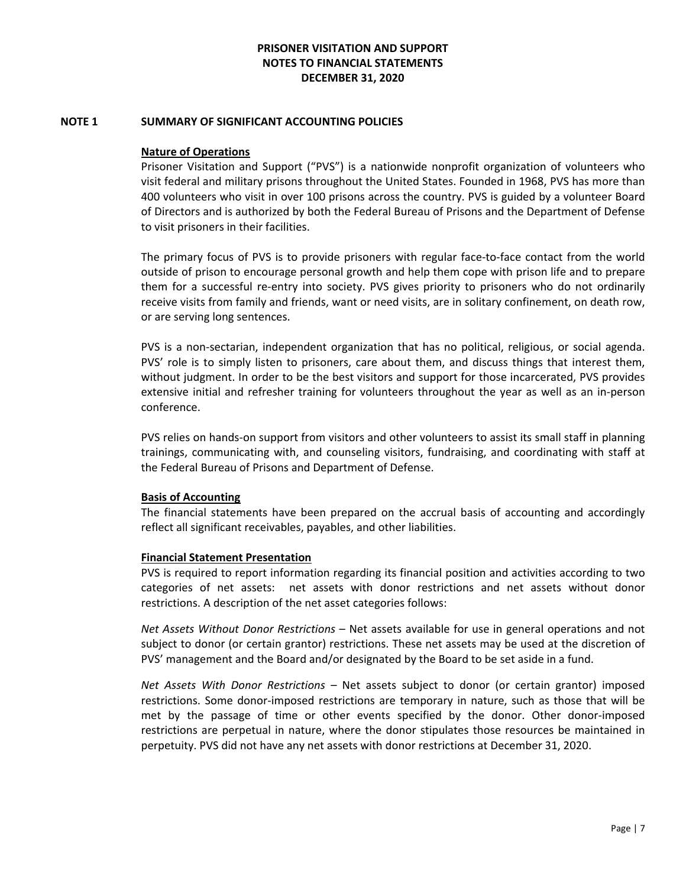#### **NOTE 1 SUMMARY OF SIGNIFICANT ACCOUNTING POLICIES**

### **Nature of Operations**

Prisoner Visitation and Support ("PVS") is a nationwide nonprofit organization of volunteers who visit federal and military prisons throughout the United States. Founded in 1968, PVS has more than 400 volunteers who visit in over 100 prisons across the country. PVS is guided by a volunteer Board of Directors and is authorized by both the Federal Bureau of Prisons and the Department of Defense to visit prisoners in their facilities.

The primary focus of PVS is to provide prisoners with regular face-to-face contact from the world outside of prison to encourage personal growth and help them cope with prison life and to prepare them for a successful re‐entry into society. PVS gives priority to prisoners who do not ordinarily receive visits from family and friends, want or need visits, are in solitary confinement, on death row, or are serving long sentences.

PVS is a non‐sectarian, independent organization that has no political, religious, or social agenda. PVS' role is to simply listen to prisoners, care about them, and discuss things that interest them, without judgment. In order to be the best visitors and support for those incarcerated, PVS provides extensive initial and refresher training for volunteers throughout the year as well as an in‐person conference.

PVS relies on hands‐on support from visitors and other volunteers to assist its small staff in planning trainings, communicating with, and counseling visitors, fundraising, and coordinating with staff at the Federal Bureau of Prisons and Department of Defense.

## **Basis of Accounting**

The financial statements have been prepared on the accrual basis of accounting and accordingly reflect all significant receivables, payables, and other liabilities.

#### **Financial Statement Presentation**

PVS is required to report information regarding its financial position and activities according to two categories of net assets: net assets with donor restrictions and net assets without donor restrictions. A description of the net asset categories follows:

*Net Assets Without Donor Restrictions* – Net assets available for use in general operations and not subject to donor (or certain grantor) restrictions. These net assets may be used at the discretion of PVS' management and the Board and/or designated by the Board to be set aside in a fund.

*Net Assets With Donor Restrictions* – Net assets subject to donor (or certain grantor) imposed restrictions. Some donor-imposed restrictions are temporary in nature, such as those that will be met by the passage of time or other events specified by the donor. Other donor‐imposed restrictions are perpetual in nature, where the donor stipulates those resources be maintained in perpetuity. PVS did not have any net assets with donor restrictions at December 31, 2020.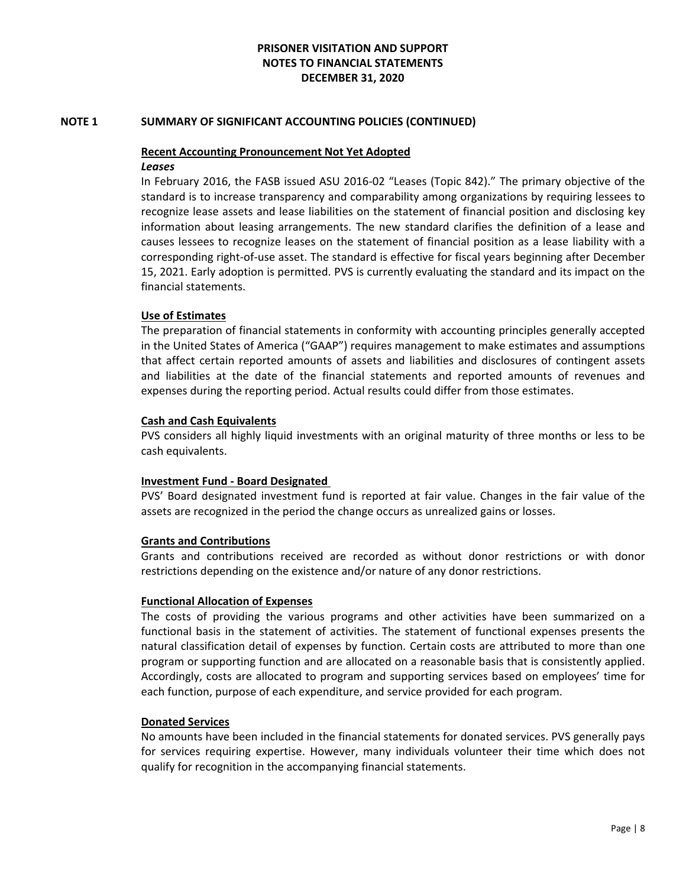### **NOTE 1 SUMMARY OF SIGNIFICANT ACCOUNTING POLICIES (CONTINUED)**

# **Recent Accounting Pronouncement Not Yet Adopted**

#### *Leases*

In February 2016, the FASB issued ASU 2016‐02 "Leases (Topic 842)." The primary objective of the standard is to increase transparency and comparability among organizations by requiring lessees to recognize lease assets and lease liabilities on the statement of financial position and disclosing key information about leasing arrangements. The new standard clarifies the definition of a lease and causes lessees to recognize leases on the statement of financial position as a lease liability with a corresponding right‐of‐use asset. The standard is effective for fiscal years beginning after December 15, 2021. Early adoption is permitted. PVS is currently evaluating the standard and its impact on the financial statements.

### **Use of Estimates**

The preparation of financial statements in conformity with accounting principles generally accepted in the United States of America ("GAAP") requires management to make estimates and assumptions that affect certain reported amounts of assets and liabilities and disclosures of contingent assets and liabilities at the date of the financial statements and reported amounts of revenues and expenses during the reporting period. Actual results could differ from those estimates.

### **Cash and Cash Equivalents**

PVS considers all highly liquid investments with an original maturity of three months or less to be cash equivalents.

#### **Investment Fund ‐ Board Designated**

PVS' Board designated investment fund is reported at fair value. Changes in the fair value of the assets are recognized in the period the change occurs as unrealized gains or losses.

#### **Grants and Contributions**

Grants and contributions received are recorded as without donor restrictions or with donor restrictions depending on the existence and/or nature of any donor restrictions.

#### **Functional Allocation of Expenses**

The costs of providing the various programs and other activities have been summarized on a functional basis in the statement of activities. The statement of functional expenses presents the natural classification detail of expenses by function. Certain costs are attributed to more than one program or supporting function and are allocated on a reasonable basis that is consistently applied. Accordingly, costs are allocated to program and supporting services based on employees' time for each function, purpose of each expenditure, and service provided for each program.

#### **Donated Services**

No amounts have been included in the financial statements for donated services. PVS generally pays for services requiring expertise. However, many individuals volunteer their time which does not qualify for recognition in the accompanying financial statements.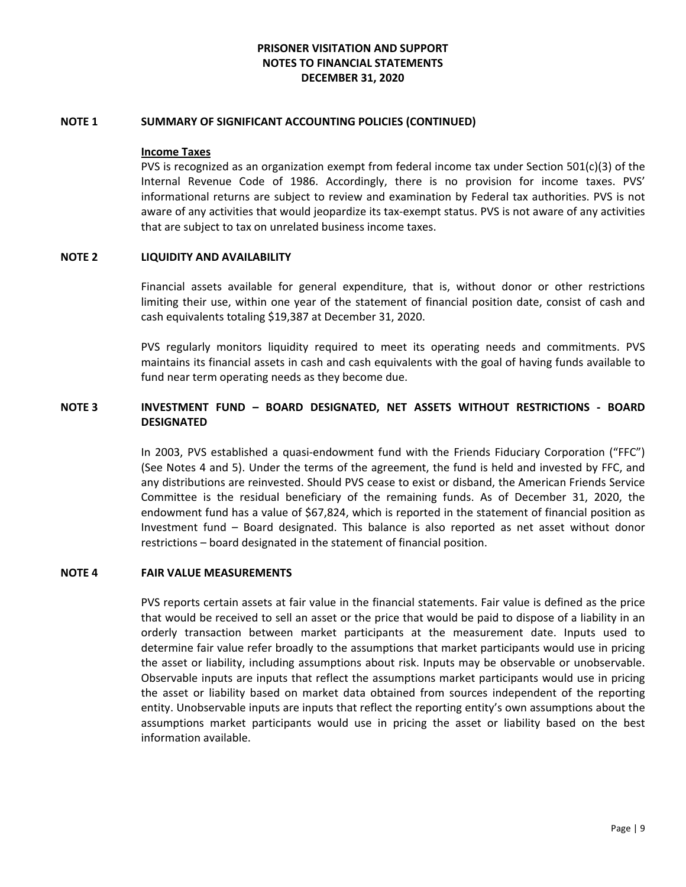#### **NOTE 1 SUMMARY OF SIGNIFICANT ACCOUNTING POLICIES (CONTINUED)**

#### **Income Taxes**

PVS is recognized as an organization exempt from federal income tax under Section 501(c)(3) of the Internal Revenue Code of 1986. Accordingly, there is no provision for income taxes. PVS' informational returns are subject to review and examination by Federal tax authorities. PVS is not aware of any activities that would jeopardize its tax‐exempt status. PVS is not aware of any activities that are subject to tax on unrelated business income taxes.

#### **NOTE 2 LIQUIDITY AND AVAILABILITY**

Financial assets available for general expenditure, that is, without donor or other restrictions limiting their use, within one year of the statement of financial position date, consist of cash and cash equivalents totaling \$19,387 at December 31, 2020.

PVS regularly monitors liquidity required to meet its operating needs and commitments. PVS maintains its financial assets in cash and cash equivalents with the goal of having funds available to fund near term operating needs as they become due.

# **NOTE 3 INVESTMENT FUND – BOARD DESIGNATED, NET ASSETS WITHOUT RESTRICTIONS ‐ BOARD DESIGNATED**

In 2003, PVS established a quasi‐endowment fund with the Friends Fiduciary Corporation ("FFC") (See Notes 4 and 5). Under the terms of the agreement, the fund is held and invested by FFC, and any distributions are reinvested. Should PVS cease to exist or disband, the American Friends Service Committee is the residual beneficiary of the remaining funds. As of December 31, 2020, the endowment fund has a value of \$67,824, which is reported in the statement of financial position as Investment fund – Board designated. This balance is also reported as net asset without donor restrictions – board designated in the statement of financial position.

### **NOTE 4 FAIR VALUE MEASUREMENTS**

PVS reports certain assets at fair value in the financial statements. Fair value is defined as the price that would be received to sell an asset or the price that would be paid to dispose of a liability in an orderly transaction between market participants at the measurement date. Inputs used to determine fair value refer broadly to the assumptions that market participants would use in pricing the asset or liability, including assumptions about risk. Inputs may be observable or unobservable. Observable inputs are inputs that reflect the assumptions market participants would use in pricing the asset or liability based on market data obtained from sources independent of the reporting entity. Unobservable inputs are inputs that reflect the reporting entity's own assumptions about the assumptions market participants would use in pricing the asset or liability based on the best information available.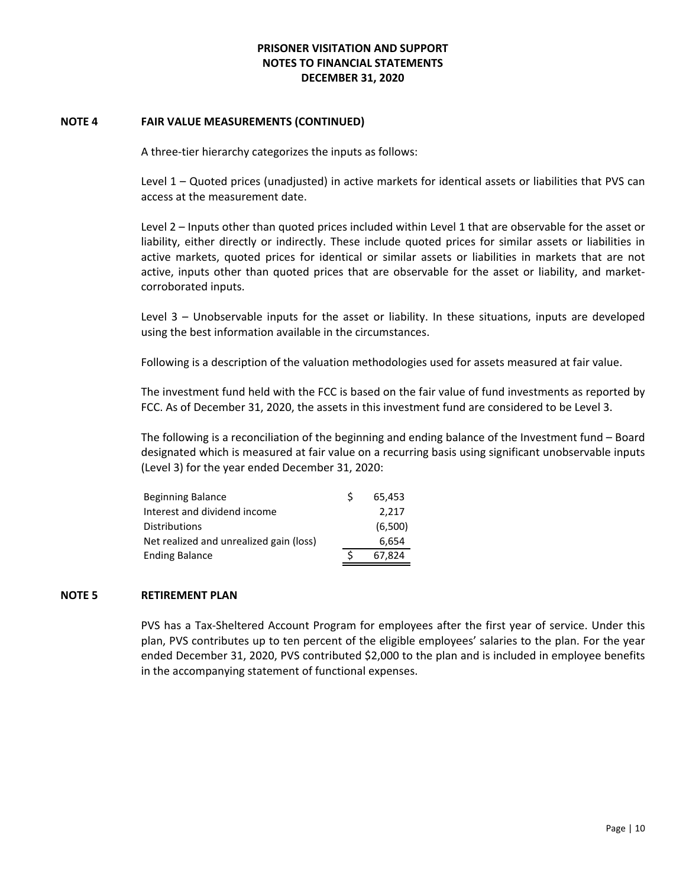#### **NOTE 4 FAIR VALUE MEASUREMENTS (CONTINUED)**

A three‐tier hierarchy categorizes the inputs as follows:

Level 1 – Quoted prices (unadjusted) in active markets for identical assets or liabilities that PVS can access at the measurement date.

Level 2 – Inputs other than quoted prices included within Level 1 that are observable for the asset or liability, either directly or indirectly. These include quoted prices for similar assets or liabilities in active markets, quoted prices for identical or similar assets or liabilities in markets that are not active, inputs other than quoted prices that are observable for the asset or liability, and marketcorroborated inputs.

Level 3 – Unobservable inputs for the asset or liability. In these situations, inputs are developed using the best information available in the circumstances.

Following is a description of the valuation methodologies used for assets measured at fair value.

The investment fund held with the FCC is based on the fair value of fund investments as reported by FCC. As of December 31, 2020, the assets in this investment fund are considered to be Level 3.

The following is a reconciliation of the beginning and ending balance of the Investment fund – Board designated which is measured at fair value on a recurring basis using significant unobservable inputs (Level 3) for the year ended December 31, 2020:

| Beginning Balance                       | S | 65.453  |
|-----------------------------------------|---|---------|
| Interest and dividend income            |   | 2.217   |
| Distributions                           |   | (6,500) |
| Net realized and unrealized gain (loss) |   | 6,654   |
| <b>Ending Balance</b>                   |   | 67.824  |

## **NOTE 5 RETIREMENT PLAN**

PVS has a Tax‐Sheltered Account Program for employees after the first year of service. Under this plan, PVS contributes up to ten percent of the eligible employees' salaries to the plan. For the year ended December 31, 2020, PVS contributed \$2,000 to the plan and is included in employee benefits in the accompanying statement of functional expenses.